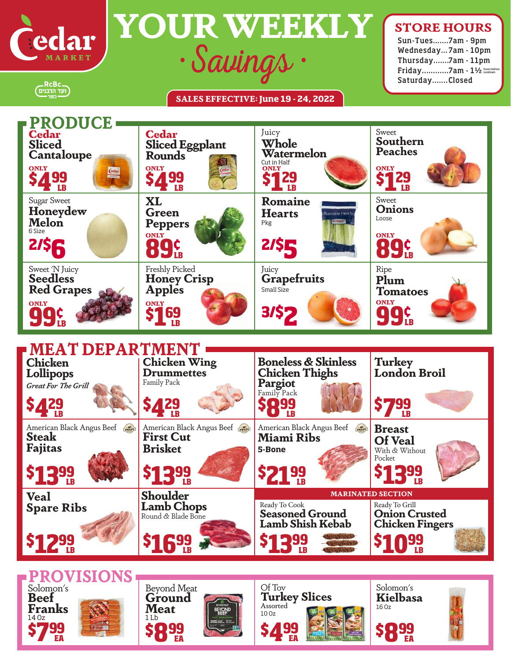

\_RcBc<br>תעד הרבנים)<br>כשר

**\$12%** 

**LB** 

**\$16%** 

Ceclar **YOUR WEEKLY** 

## **SALES EFFECTIVE: June 19 - 24, 2022**

## **STORE HOURS**

Sun-Tues....... 7am - 9pm Wednesday... 7am - 10pm Thursday....... 7am - 11pm Friday............ 7am - 1½ hours before sundown Saturday....... Closed

**MEAT DEPARTMENT**<br>Chicken Chicken Wing **PRODUCE \$8 99**   $\frac{1}{2}$   $\frac{1}{2}$   $\frac{1}{2}$   $\frac{1}{2}$   $\frac{1}{2}$   $\frac{1}{2}$   $\frac{1}{2}$   $\frac{1}{2}$   $\frac{1}{2}$   $\frac{1}{2}$   $\frac{1}{2}$   $\frac{1}{2}$   $\frac{1}{2}$   $\frac{1}{2}$   $\frac{1}{2}$   $\frac{1}{2}$   $\frac{1}{2}$   $\frac{1}{2}$   $\frac{1}{2}$   $\frac{1}{2}$   $\frac{1}{2}$   $\frac{1}{2}$  **429 MARINATED SECTION** Ready To Cook **Seasoned Ground \$21% LB Chicken Lollipops** *Great For The Grill* **Turkey London Broil Chicken Wing Boneless & Skinless Drummettes** Family Pack **Chicken Thighs Pargiot** Family Pack **Breast Of Veal** With & Without Pocket **\$13% LB** Ready To Grill **Onion Crusted** American Black Angus Beef **First Cut Brisket** American Black Angus Beef **Steak Fajitas \$13% LB ONLY \$1 29 ST 29** ST 29 **\$1 29 LB**  ONLY  $$169$ **Romaine Hearts** Pkg **ONLY 99¢ LB ONLY 89<sup>°</sup><sub><b>89**<sup>°</sup><sub>**2**</sub> **2**<sup>8</sup><sup></sup>**8**<sup></sup></sub> **89¢ LB Juicy Grapefruits** Small Size **XL Green Peppers** Freshly Picked **Honey Crisp Apples** Sweet **Onions** Loose **2/\$5 3/\$2 2/\$6 ONLY \$4 99 LB**  $\frac{1}{2}$   $\frac{1}{2}$ **\$4 99 LB**  Cedar **Sliced Cantaloupe** Cedar **Sliced Eggplant Rounds** Sugar Sweet **Honeydew Melon** 6 Size Sweet 'N Juicy **Seedless Red Grapes** Juicy **Whole Watermelon** Cut in Half<br>**ONLY** Sweet **Southern Peaches Veal Spare Ribs Shoulder Lamb Chops** Round & Blade Bone American Black Angus Beef **Miami Ribs 5-Bone ONLY 99¢ LB**  Ripe **Plum Tomatoes**



**Lamb Shish Kebab**

**Chicken Fingers**

**LB** 

**\$10 99**

**LB** 

**\$13 99**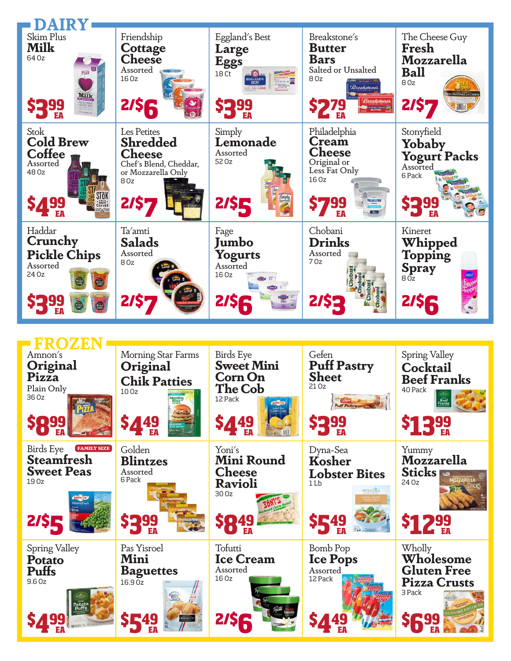

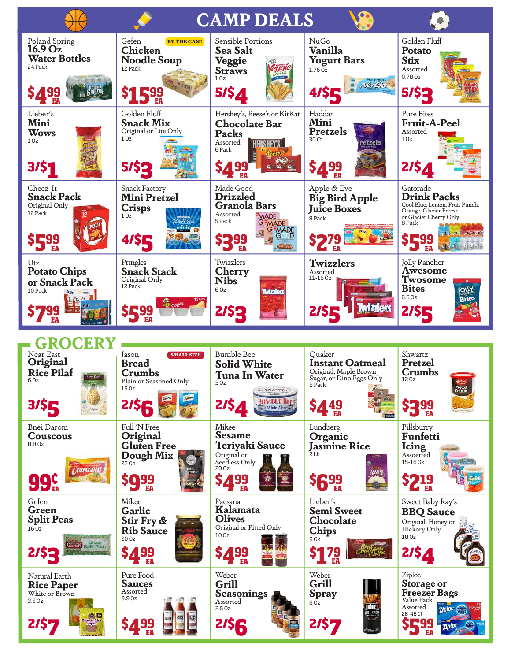